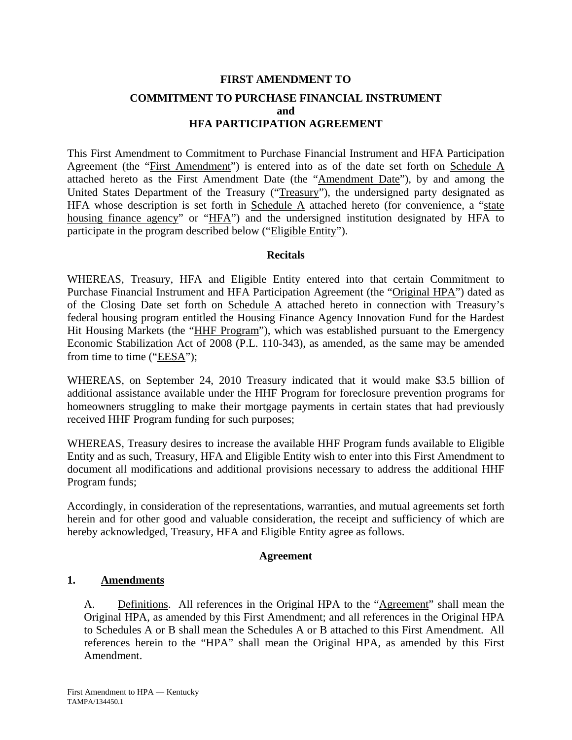## **FIRST AMENDMENT TO COMMITMENT TO PURCHASE FINANCIAL INSTRUMENT and HFA PARTICIPATION AGREEMENT**

This First Amendment to Commitment to Purchase Financial Instrument and HFA Participation Agreement (the "First Amendment") is entered into as of the date set forth on Schedule A attached hereto as the First Amendment Date (the "Amendment Date"), by and among the United States Department of the Treasury ("Treasury"), the undersigned party designated as HFA whose description is set forth in Schedule  $\overline{A}$  attached hereto (for convenience, a "state housing finance agency" or "HFA") and the undersigned institution designated by HFA to participate in the program described below ("Eligible Entity").

#### **Recitals**

WHEREAS, Treasury, HFA and Eligible Entity entered into that certain Commitment to Purchase Financial Instrument and HFA Participation Agreement (the "Original HPA") dated as of the Closing Date set forth on Schedule A attached hereto in connection with Treasury's federal housing program entitled the Housing Finance Agency Innovation Fund for the Hardest Hit Housing Markets (the "HHF Program"), which was established pursuant to the Emergency Economic Stabilization Act of 2008 (P.L. 110-343), as amended, as the same may be amended from time to time ("EESA");

WHEREAS, on September 24, 2010 Treasury indicated that it would make \$3.5 billion of additional assistance available under the HHF Program for foreclosure prevention programs for homeowners struggling to make their mortgage payments in certain states that had previously received HHF Program funding for such purposes;

WHEREAS, Treasury desires to increase the available HHF Program funds available to Eligible Entity and as such, Treasury, HFA and Eligible Entity wish to enter into this First Amendment to document all modifications and additional provisions necessary to address the additional HHF Program funds;

Accordingly, in consideration of the representations, warranties, and mutual agreements set forth herein and for other good and valuable consideration, the receipt and sufficiency of which are hereby acknowledged, Treasury, HFA and Eligible Entity agree as follows.

#### **Agreement**

#### **1. Amendments**

A. Definitions. All references in the Original HPA to the "Agreement" shall mean the Original HPA, as amended by this First Amendment; and all references in the Original HPA to Schedules A or B shall mean the Schedules A or B attached to this First Amendment. All references herein to the "HPA" shall mean the Original HPA, as amended by this First Amendment.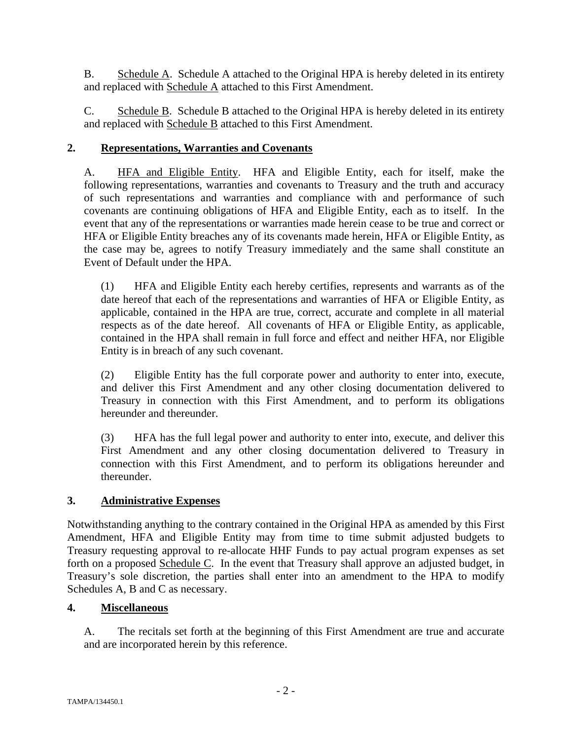B. Schedule A. Schedule A attached to the Original HPA is hereby deleted in its entirety and replaced with Schedule A attached to this First Amendment.

C. Schedule B. Schedule B attached to the Original HPA is hereby deleted in its entirety and replaced with Schedule B attached to this First Amendment.

### **2. Representations, Warranties and Covenants**

A. HFA and Eligible Entity. HFA and Eligible Entity, each for itself, make the following representations, warranties and covenants to Treasury and the truth and accuracy of such representations and warranties and compliance with and performance of such covenants are continuing obligations of HFA and Eligible Entity, each as to itself. In the event that any of the representations or warranties made herein cease to be true and correct or HFA or Eligible Entity breaches any of its covenants made herein, HFA or Eligible Entity, as the case may be, agrees to notify Treasury immediately and the same shall constitute an Event of Default under the HPA.

(1) HFA and Eligible Entity each hereby certifies, represents and warrants as of the date hereof that each of the representations and warranties of HFA or Eligible Entity, as applicable, contained in the HPA are true, correct, accurate and complete in all material respects as of the date hereof. All covenants of HFA or Eligible Entity, as applicable, contained in the HPA shall remain in full force and effect and neither HFA, nor Eligible Entity is in breach of any such covenant.

(2) Eligible Entity has the full corporate power and authority to enter into, execute, and deliver this First Amendment and any other closing documentation delivered to Treasury in connection with this First Amendment, and to perform its obligations hereunder and thereunder.

(3) HFA has the full legal power and authority to enter into, execute, and deliver this First Amendment and any other closing documentation delivered to Treasury in connection with this First Amendment, and to perform its obligations hereunder and thereunder.

## **3. Administrative Expenses**

Notwithstanding anything to the contrary contained in the Original HPA as amended by this First Amendment, HFA and Eligible Entity may from time to time submit adjusted budgets to Treasury requesting approval to re-allocate HHF Funds to pay actual program expenses as set forth on a proposed Schedule C. In the event that Treasury shall approve an adjusted budget, in Treasury's sole discretion, the parties shall enter into an amendment to the HPA to modify Schedules A, B and C as necessary.

#### **4. Miscellaneous**

A. The recitals set forth at the beginning of this First Amendment are true and accurate and are incorporated herein by this reference.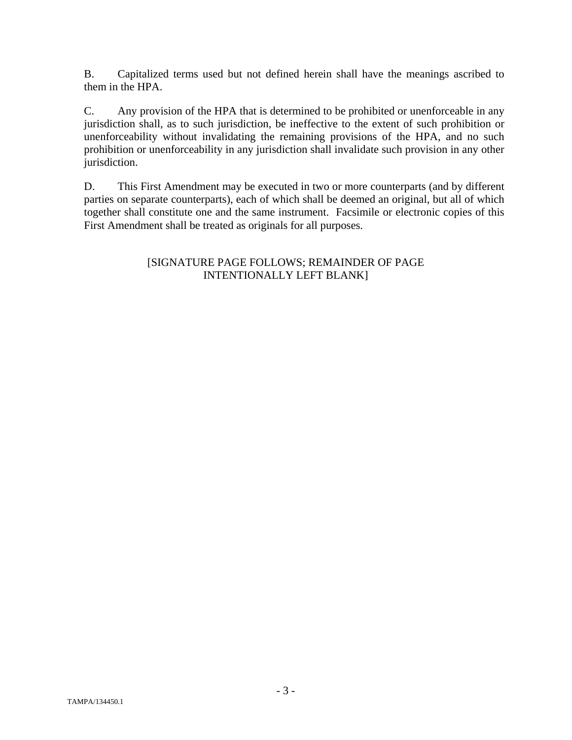B. Capitalized terms used but not defined herein shall have the meanings ascribed to them in the HPA.

C. Any provision of the HPA that is determined to be prohibited or unenforceable in any jurisdiction shall, as to such jurisdiction, be ineffective to the extent of such prohibition or unenforceability without invalidating the remaining provisions of the HPA, and no such prohibition or unenforceability in any jurisdiction shall invalidate such provision in any other jurisdiction.

D. This First Amendment may be executed in two or more counterparts (and by different parties on separate counterparts), each of which shall be deemed an original, but all of which together shall constitute one and the same instrument. Facsimile or electronic copies of this First Amendment shall be treated as originals for all purposes.

#### [SIGNATURE PAGE FOLLOWS; REMAINDER OF PAGE INTENTIONALLY LEFT BLANK]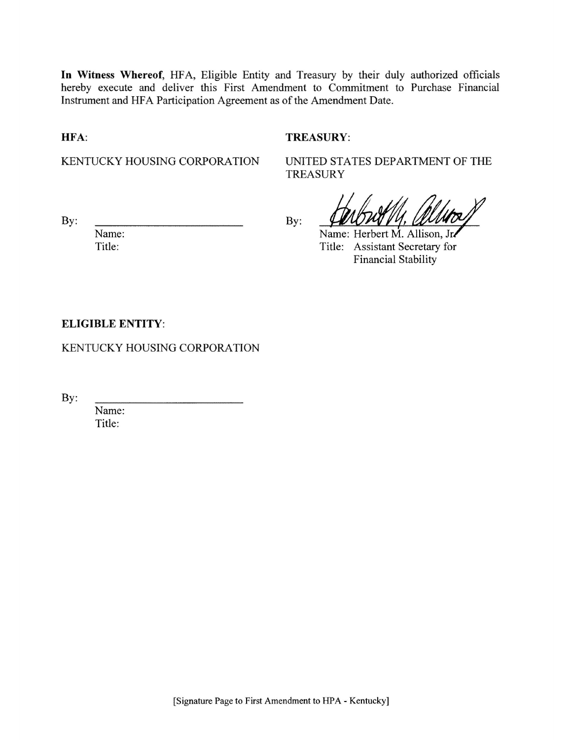In Witness Whereof, HFA, Eligible Entity and Treasury by their duly authorized officials hereby execute and deliver this First Amendment to Commitment to Purchase Financial Instrument and HFA Participation Agreement as of the Amendment Date.

HFA:

#### **TREASURY:**

KENTUCKY HOUSING CORPORATION

UNITED STATES DEPARTMENT OF THE **TREASURY** 

By:

Name: Title:

By:

Name: Herbert M. Allison, Jr.

Title: Assistant Secretary for **Financial Stability** 

#### **ELIGIBLE ENTITY:**

KENTUCKY HOUSING CORPORATION

By:

Name: Title: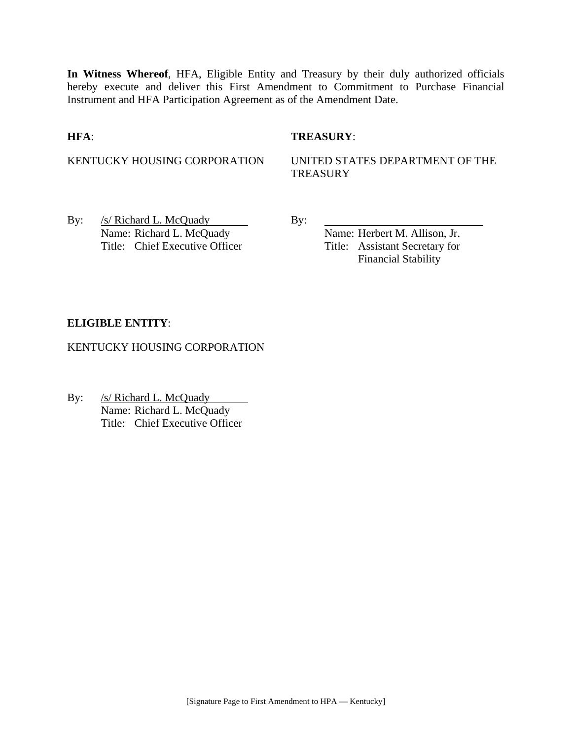**In Witness Whereof**, HFA, Eligible Entity and Treasury by their duly authorized officials hereby execute and deliver this First Amendment to Commitment to Purchase Financial Instrument and HFA Participation Agreement as of the Amendment Date.

#### **HFA**: **TREASURY**:

KENTUCKY HOUSING CORPORATION UNITED STATES DEPARTMENT OF THE **TREASURY** 

By:  $/s/Richard L. McQuady$  By: Name: Richard L. McQuady Name: Herbert M. Allison, Jr. Title: Chief Executive Officer Title: Assistant Secretary for

Financial Stability

#### **ELIGIBLE ENTITY**:

KENTUCKY HOUSING CORPORATION

By: /s/ Richard L. McQuady  $\overline{\phantom{a}}$ Name: Richard L. McQuady Title: Chief Executive Officer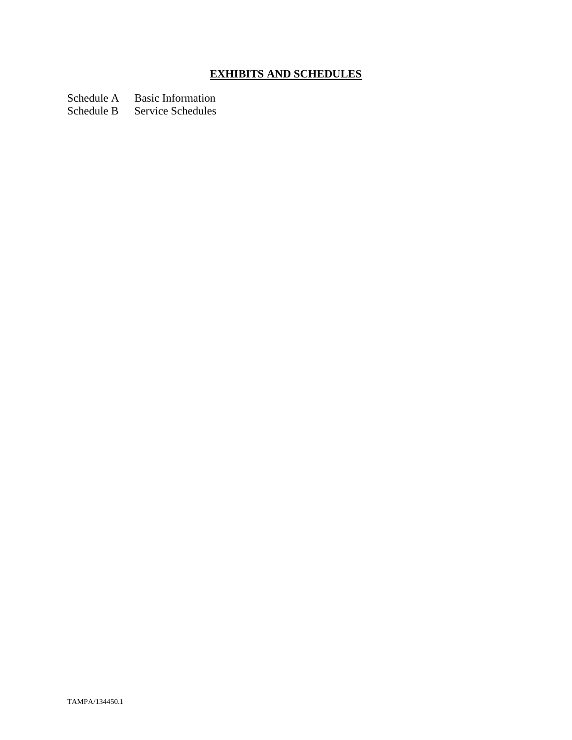# **EXHIBITS AND SCHEDULES**

Schedule A Basic Information

Schedule B Service Schedules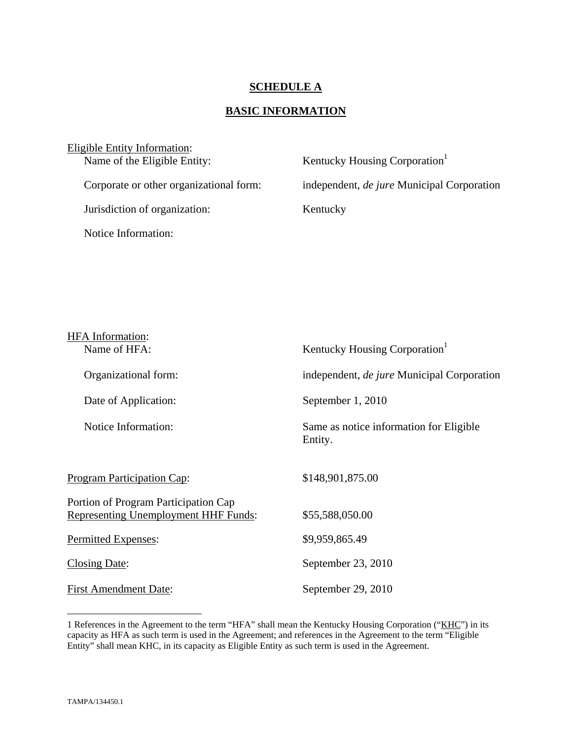#### **SCHEDULE A**

## **BASIC INFORMATION**

| Eligible Entity Information:            |                                                   |
|-----------------------------------------|---------------------------------------------------|
| Name of the Eligible Entity:            | Kentucky Housing Corporation <sup>1</sup>         |
| Corporate or other organizational form: | independent, <i>de jure</i> Municipal Corporation |
| Jurisdiction of organization:           | Kentucky                                          |
| Notice Information:                     |                                                   |

| <b>HFA</b> Information:                                                      |                                                    |
|------------------------------------------------------------------------------|----------------------------------------------------|
| Name of HFA:                                                                 | Kentucky Housing Corporation <sup>1</sup>          |
| Organizational form:                                                         | independent, <i>de jure</i> Municipal Corporation  |
| Date of Application:                                                         | September 1, 2010                                  |
| Notice Information:                                                          | Same as notice information for Eligible<br>Entity. |
| <b>Program Participation Cap:</b>                                            | \$148,901,875.00                                   |
| Portion of Program Participation Cap<br>Representing Unemployment HHF Funds: | \$55,588,050.00                                    |
| Permitted Expenses:                                                          | \$9,959,865.49                                     |
| <b>Closing Date:</b>                                                         | September 23, 2010                                 |
| <b>First Amendment Date:</b>                                                 | September 29, 2010                                 |

1

<sup>1</sup> References in the Agreement to the term "HFA" shall mean the Kentucky Housing Corporation ("KHC") in its capacity as HFA as such term is used in the Agreement; and references in the Agreement to the term "Eligible Entity" shall mean KHC, in its capacity as Eligible Entity as such term is used in the Agreement.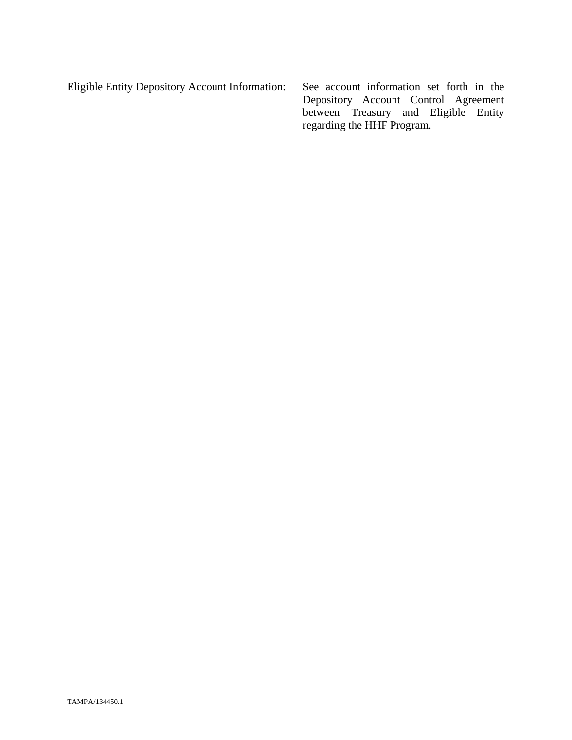Eligible Entity Depository Account Information: See account information set forth in the Depository Account Control Agreement between Treasury and Eligible Entity regarding the HHF Program.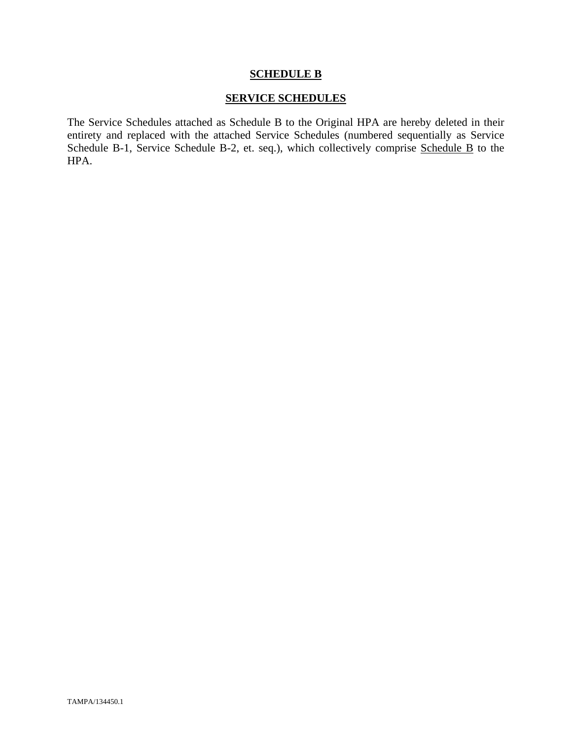#### **SCHEDULE B**

#### **SERVICE SCHEDULES**

The Service Schedules attached as Schedule B to the Original HPA are hereby deleted in their entirety and replaced with the attached Service Schedules (numbered sequentially as Service Schedule B-1, Service Schedule B-2, et. seq.), which collectively comprise Schedule B to the HPA.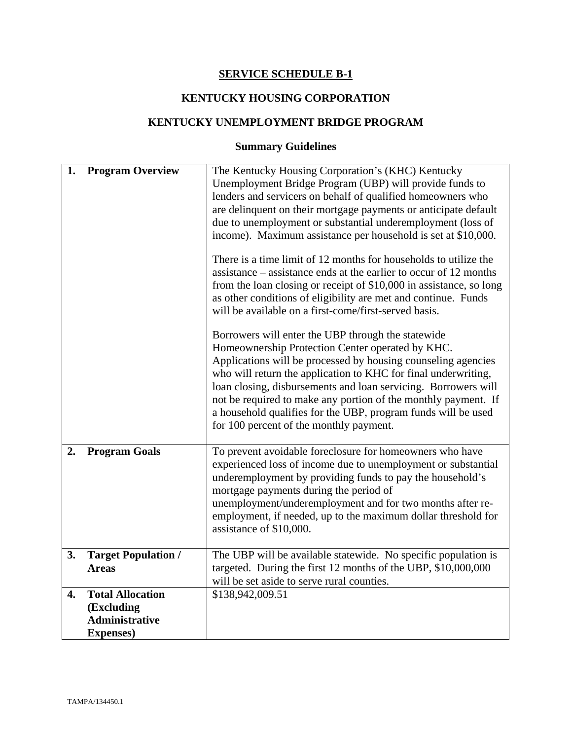## **SERVICE SCHEDULE B-1**

## **KENTUCKY HOUSING CORPORATION**

## **KENTUCKY UNEMPLOYMENT BRIDGE PROGRAM**

# **Summary Guidelines**

| 1.<br><b>Program Overview</b>                                                      | The Kentucky Housing Corporation's (KHC) Kentucky                                                                                                                                                                                                                                                                                                                                                                                                                                                                                                                                                                                                                                                                                                                                                                                                                                                                                                                                                                                                                                                                                                                 |
|------------------------------------------------------------------------------------|-------------------------------------------------------------------------------------------------------------------------------------------------------------------------------------------------------------------------------------------------------------------------------------------------------------------------------------------------------------------------------------------------------------------------------------------------------------------------------------------------------------------------------------------------------------------------------------------------------------------------------------------------------------------------------------------------------------------------------------------------------------------------------------------------------------------------------------------------------------------------------------------------------------------------------------------------------------------------------------------------------------------------------------------------------------------------------------------------------------------------------------------------------------------|
|                                                                                    | Unemployment Bridge Program (UBP) will provide funds to<br>lenders and servicers on behalf of qualified homeowners who<br>are delinquent on their mortgage payments or anticipate default<br>due to unemployment or substantial underemployment (loss of<br>income). Maximum assistance per household is set at \$10,000.<br>There is a time limit of 12 months for households to utilize the<br>assistance – assistance ends at the earlier to occur of 12 months<br>from the loan closing or receipt of \$10,000 in assistance, so long<br>as other conditions of eligibility are met and continue. Funds<br>will be available on a first-come/first-served basis.<br>Borrowers will enter the UBP through the statewide<br>Homeownership Protection Center operated by KHC.<br>Applications will be processed by housing counseling agencies<br>who will return the application to KHC for final underwriting,<br>loan closing, disbursements and loan servicing. Borrowers will<br>not be required to make any portion of the monthly payment. If<br>a household qualifies for the UBP, program funds will be used<br>for 100 percent of the monthly payment. |
| <b>Program Goals</b><br>2.                                                         | To prevent avoidable foreclosure for homeowners who have<br>experienced loss of income due to unemployment or substantial<br>underemployment by providing funds to pay the household's<br>mortgage payments during the period of<br>unemployment/underemployment and for two months after re-<br>employment, if needed, up to the maximum dollar threshold for<br>assistance of \$10,000.                                                                                                                                                                                                                                                                                                                                                                                                                                                                                                                                                                                                                                                                                                                                                                         |
| <b>Target Population /</b><br>3.<br><b>Areas</b>                                   | The UBP will be available statewide. No specific population is<br>targeted. During the first 12 months of the UBP, \$10,000,000<br>will be set aside to serve rural counties.                                                                                                                                                                                                                                                                                                                                                                                                                                                                                                                                                                                                                                                                                                                                                                                                                                                                                                                                                                                     |
| <b>Total Allocation</b><br>4.<br>(Excluding<br>Administrative<br><b>Expenses</b> ) | \$138,942,009.51                                                                                                                                                                                                                                                                                                                                                                                                                                                                                                                                                                                                                                                                                                                                                                                                                                                                                                                                                                                                                                                                                                                                                  |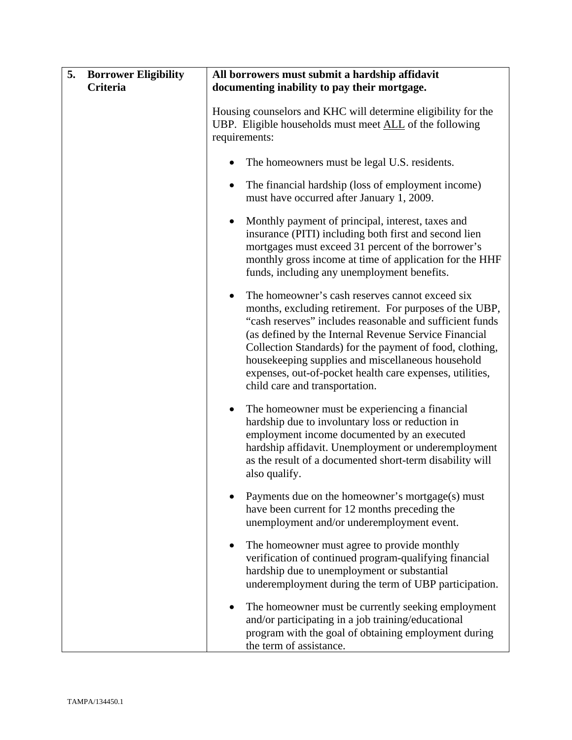| 5. | <b>Borrower Eligibility</b><br>Criteria | All borrowers must submit a hardship affidavit<br>documenting inability to pay their mortgage.                                                                                                                                                                                                                                                                                                                                                             |
|----|-----------------------------------------|------------------------------------------------------------------------------------------------------------------------------------------------------------------------------------------------------------------------------------------------------------------------------------------------------------------------------------------------------------------------------------------------------------------------------------------------------------|
|    |                                         | Housing counselors and KHC will determine eligibility for the<br>UBP. Eligible households must meet ALL of the following<br>requirements:                                                                                                                                                                                                                                                                                                                  |
|    |                                         | The homeowners must be legal U.S. residents.<br>٠                                                                                                                                                                                                                                                                                                                                                                                                          |
|    |                                         | The financial hardship (loss of employment income)<br>٠<br>must have occurred after January 1, 2009.                                                                                                                                                                                                                                                                                                                                                       |
|    |                                         | Monthly payment of principal, interest, taxes and<br>$\bullet$<br>insurance (PITI) including both first and second lien<br>mortgages must exceed 31 percent of the borrower's<br>monthly gross income at time of application for the HHF<br>funds, including any unemployment benefits.                                                                                                                                                                    |
|    |                                         | The homeowner's cash reserves cannot exceed six<br>$\bullet$<br>months, excluding retirement. For purposes of the UBP,<br>"cash reserves" includes reasonable and sufficient funds<br>(as defined by the Internal Revenue Service Financial<br>Collection Standards) for the payment of food, clothing,<br>housekeeping supplies and miscellaneous household<br>expenses, out-of-pocket health care expenses, utilities,<br>child care and transportation. |
|    |                                         | The homeowner must be experiencing a financial<br>$\bullet$<br>hardship due to involuntary loss or reduction in<br>employment income documented by an executed<br>hardship affidavit. Unemployment or underemployment<br>as the result of a documented short-term disability will<br>also qualify.                                                                                                                                                         |
|    |                                         | Payments due on the homeowner's mortgage(s) must<br>have been current for 12 months preceding the<br>unemployment and/or underemployment event.                                                                                                                                                                                                                                                                                                            |
|    |                                         | The homeowner must agree to provide monthly<br>٠<br>verification of continued program-qualifying financial<br>hardship due to unemployment or substantial<br>underemployment during the term of UBP participation.                                                                                                                                                                                                                                         |
|    |                                         | The homeowner must be currently seeking employment<br>$\bullet$<br>and/or participating in a job training/educational<br>program with the goal of obtaining employment during<br>the term of assistance.                                                                                                                                                                                                                                                   |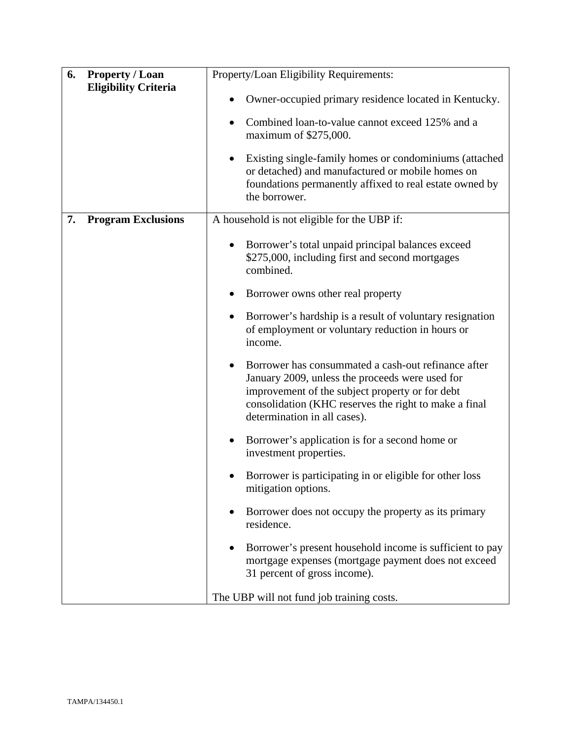| 6. | <b>Property / Loan</b>      | Property/Loan Eligibility Requirements:                                                                                                                                                                                                                         |
|----|-----------------------------|-----------------------------------------------------------------------------------------------------------------------------------------------------------------------------------------------------------------------------------------------------------------|
|    | <b>Eligibility Criteria</b> | Owner-occupied primary residence located in Kentucky.                                                                                                                                                                                                           |
|    |                             | Combined loan-to-value cannot exceed 125% and a<br>$\bullet$<br>maximum of \$275,000.                                                                                                                                                                           |
|    |                             | Existing single-family homes or condominiums (attached<br>$\bullet$<br>or detached) and manufactured or mobile homes on<br>foundations permanently affixed to real estate owned by<br>the borrower.                                                             |
| 7. | <b>Program Exclusions</b>   | A household is not eligible for the UBP if:                                                                                                                                                                                                                     |
|    |                             | Borrower's total unpaid principal balances exceed<br>\$275,000, including first and second mortgages<br>combined.                                                                                                                                               |
|    |                             | Borrower owns other real property<br>$\bullet$                                                                                                                                                                                                                  |
|    |                             | Borrower's hardship is a result of voluntary resignation<br>٠<br>of employment or voluntary reduction in hours or<br>income.                                                                                                                                    |
|    |                             | Borrower has consummated a cash-out refinance after<br>$\bullet$<br>January 2009, unless the proceeds were used for<br>improvement of the subject property or for debt<br>consolidation (KHC reserves the right to make a final<br>determination in all cases). |
|    |                             | Borrower's application is for a second home or<br>٠<br>investment properties.                                                                                                                                                                                   |
|    |                             | Borrower is participating in or eligible for other loss<br>mitigation options.                                                                                                                                                                                  |
|    |                             | Borrower does not occupy the property as its primary<br>$\bullet$<br>residence.                                                                                                                                                                                 |
|    |                             | Borrower's present household income is sufficient to pay<br>mortgage expenses (mortgage payment does not exceed<br>31 percent of gross income).                                                                                                                 |
|    |                             | The UBP will not fund job training costs.                                                                                                                                                                                                                       |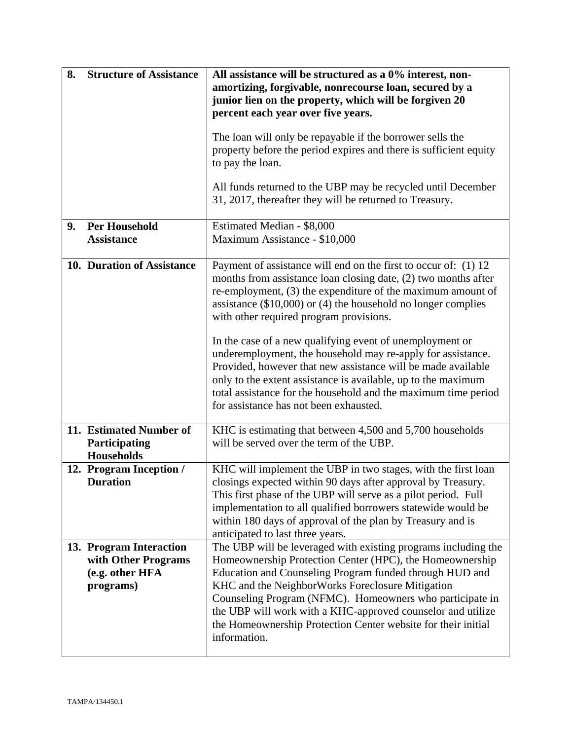| 8. | <b>Structure of Assistance</b>                                                 | All assistance will be structured as a 0% interest, non-<br>amortizing, forgivable, nonrecourse loan, secured by a<br>junior lien on the property, which will be forgiven 20                                                                                                                                                                                                                                                                          |
|----|--------------------------------------------------------------------------------|-------------------------------------------------------------------------------------------------------------------------------------------------------------------------------------------------------------------------------------------------------------------------------------------------------------------------------------------------------------------------------------------------------------------------------------------------------|
|    |                                                                                | percent each year over five years.                                                                                                                                                                                                                                                                                                                                                                                                                    |
|    |                                                                                | The loan will only be repayable if the borrower sells the<br>property before the period expires and there is sufficient equity<br>to pay the loan.                                                                                                                                                                                                                                                                                                    |
|    |                                                                                | All funds returned to the UBP may be recycled until December<br>31, 2017, thereafter they will be returned to Treasury.                                                                                                                                                                                                                                                                                                                               |
| 9. | <b>Per Household</b><br><b>Assistance</b>                                      | Estimated Median - \$8,000<br>Maximum Assistance - \$10,000                                                                                                                                                                                                                                                                                                                                                                                           |
|    | 10. Duration of Assistance                                                     | Payment of assistance will end on the first to occur of: (1) 12<br>months from assistance loan closing date, (2) two months after<br>re-employment, (3) the expenditure of the maximum amount of<br>assistance $(\$10,000)$ or $(4)$ the household no longer complies<br>with other required program provisions.                                                                                                                                      |
|    |                                                                                | In the case of a new qualifying event of unemployment or<br>underemployment, the household may re-apply for assistance.<br>Provided, however that new assistance will be made available<br>only to the extent assistance is available, up to the maximum<br>total assistance for the household and the maximum time period<br>for assistance has not been exhausted.                                                                                  |
|    | 11. Estimated Number of<br>Participating<br><b>Households</b>                  | KHC is estimating that between 4,500 and 5,700 households<br>will be served over the term of the UBP.                                                                                                                                                                                                                                                                                                                                                 |
|    | 12. Program Inception /<br><b>Duration</b>                                     | KHC will implement the UBP in two stages, with the first loan<br>closings expected within 90 days after approval by Treasury.<br>This first phase of the UBP will serve as a pilot period. Full<br>implementation to all qualified borrowers statewide would be<br>within 180 days of approval of the plan by Treasury and is<br>anticipated to last three years.                                                                                     |
|    | 13. Program Interaction<br>with Other Programs<br>(e.g. other HFA<br>programs) | The UBP will be leveraged with existing programs including the<br>Homeownership Protection Center (HPC), the Homeownership<br>Education and Counseling Program funded through HUD and<br>KHC and the NeighborWorks Foreclosure Mitigation<br>Counseling Program (NFMC). Homeowners who participate in<br>the UBP will work with a KHC-approved counselor and utilize<br>the Homeownership Protection Center website for their initial<br>information. |